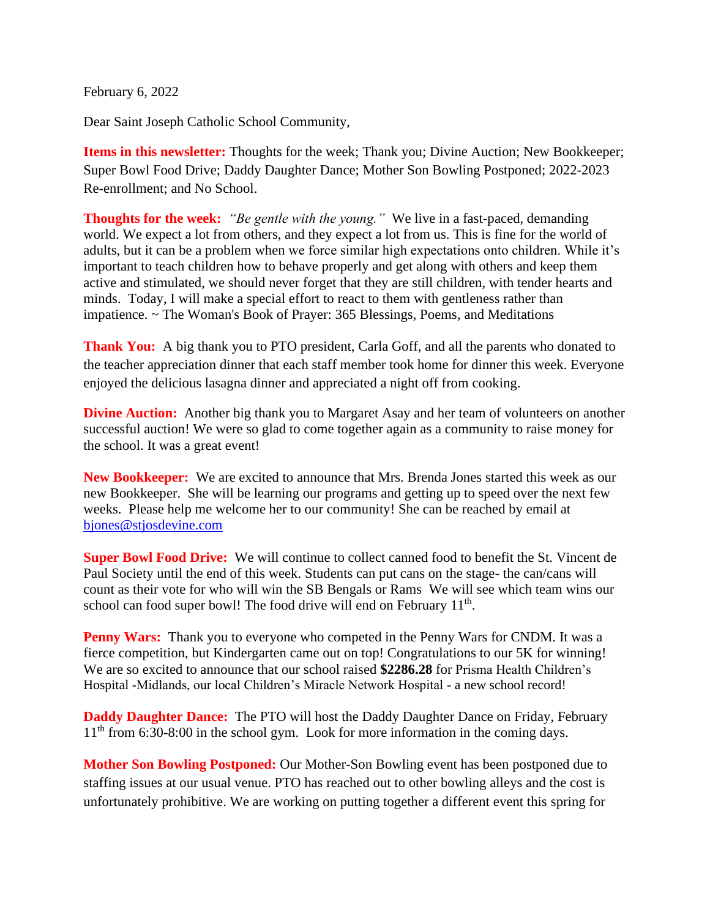February 6, 2022

Dear Saint Joseph Catholic School Community,

**Items in this newsletter:** Thoughts for the week; Thank you; Divine Auction; New Bookkeeper; Super Bowl Food Drive; Daddy Daughter Dance; Mother Son Bowling Postponed; 2022-2023 Re-enrollment; and No School.

**Thoughts for the week:** *"Be gentle with the young."* We live in a fast-paced, demanding world. We expect a lot from others, and they expect a lot from us. This is fine for the world of adults, but it can be a problem when we force similar high expectations onto children. While it's important to teach children how to behave properly and get along with others and keep them active and stimulated, we should never forget that they are still children, with tender hearts and minds. Today, I will make a special effort to react to them with gentleness rather than impatience. ~ The Woman's Book of Prayer: 365 Blessings, Poems, and Meditations

**Thank You:** A big thank you to PTO president, Carla Goff, and all the parents who donated to the teacher appreciation dinner that each staff member took home for dinner this week. Everyone enjoyed the delicious lasagna dinner and appreciated a night off from cooking.

**Divine Auction:** Another big thank you to Margaret Asay and her team of volunteers on another successful auction! We were so glad to come together again as a community to raise money for the school. It was a great event!

**New Bookkeeper:** We are excited to announce that Mrs. Brenda Jones started this week as our new Bookkeeper. She will be learning our programs and getting up to speed over the next few weeks. Please help me welcome her to our community! She can be reached by email at [bjones@stjosdevine.com](mailto:bjones@stjosdevine.com)

**Super Bowl Food Drive:** We will continue to collect canned food to benefit the St. Vincent de Paul Society until the end of this week. Students can put cans on the stage- the can/cans will count as their vote for who will win the SB Bengals or Rams We will see which team wins our school can food super bowl! The food drive will end on February 11<sup>th</sup>.

**Penny Wars:** Thank you to everyone who competed in the Penny Wars for CNDM. It was a fierce competition, but Kindergarten came out on top! Congratulations to our 5K for winning! We are so excited to announce that our school raised **\$2286.28** for Prisma Health Children's Hospital -Midlands, our local Children's Miracle Network Hospital - a new school record!

**Daddy Daughter Dance:** The PTO will host the Daddy Daughter Dance on Friday, February  $11<sup>th</sup>$  from 6:30-8:00 in the school gym. Look for more information in the coming days.

**Mother Son Bowling Postponed:** Our Mother-Son Bowling event has been postponed due to staffing issues at our usual venue. PTO has reached out to other bowling alleys and the cost is unfortunately prohibitive. We are working on putting together a different event this spring for